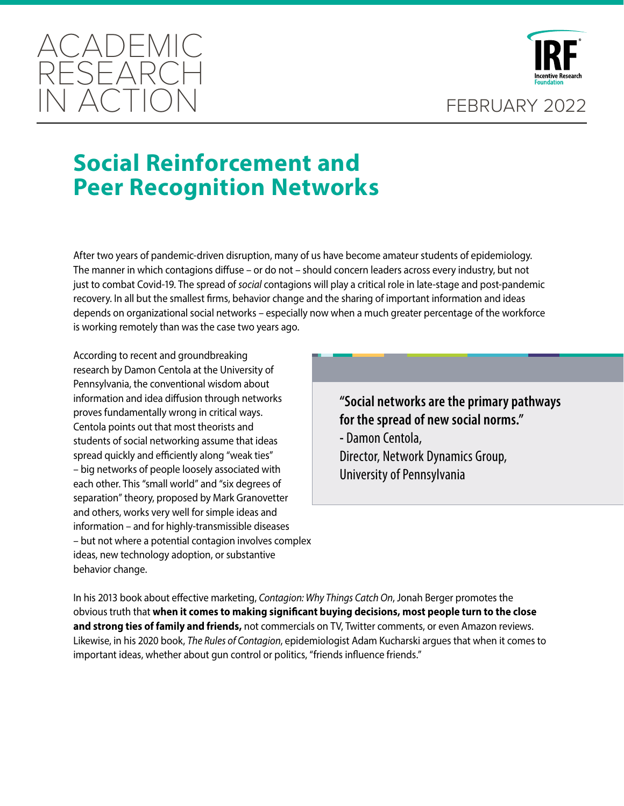



# **Social Reinforcement and Peer Recognition Networks**

After two years of pandemic-driven disruption, many of us have become amateur students of epidemiology. The manner in which contagions diffuse – or do not – should concern leaders across every industry, but not just to combat Covid-19. The spread of *social* contagions will play a critical role in late-stage and post-pandemic recovery. In all but the smallest firms, behavior change and the sharing of important information and ideas depends on organizational social networks – especially now when a much greater percentage of the workforce is working remotely than was the case two years ago.

According to recent and groundbreaking research by Damon Centola at the University of Pennsylvania, the conventional wisdom about information and idea diffusion through networks proves fundamentally wrong in critical ways. Centola points out that most theorists and students of social networking assume that ideas spread quickly and efficiently along "weak ties" – big networks of people loosely associated with each other. This "small world" and "six degrees of separation" theory, proposed by Mark Granovetter and others, works very well for simple ideas and information – and for highly-transmissible diseases – but not where a potential contagion involves complex ideas, new technology adoption, or substantive behavior change.

**"Social networks are the primary pathways for the spread of new social norms." -** Damon Centola, Director, Network Dynamics Group, University of Pennsylvania

In his 2013 book about effective marketing, *Contagion: Why Things Catch On*, Jonah Berger promotes the obvious truth that **when it comes to making significant buying decisions, most people turn to the close and strong ties of family and friends,** not commercials on TV, Twitter comments, or even Amazon reviews. Likewise, in his 2020 book, *The Rules of Contagion*, epidemiologist Adam Kucharski argues that when it comes to important ideas, whether about gun control or politics, "friends influence friends."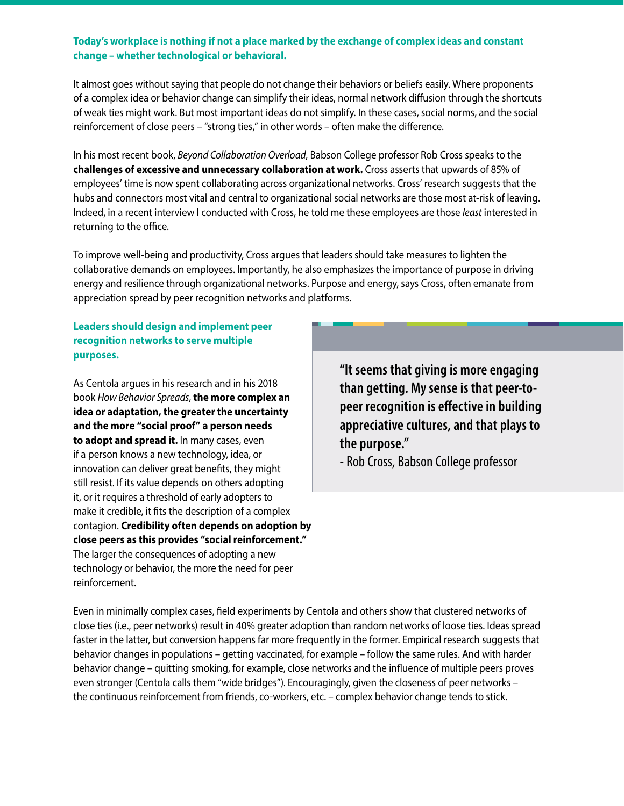#### **Today's workplace is nothing if not a place marked by the exchange of complex ideas and constant change – whether technological or behavioral.**

It almost goes without saying that people do not change their behaviors or beliefs easily. Where proponents of a complex idea or behavior change can simplify their ideas, normal network diffusion through the shortcuts of weak ties might work. But most important ideas do not simplify. In these cases, social norms, and the social reinforcement of close peers – "strong ties," in other words – often make the difference.

In his most recent book, *Beyond Collaboration Overload*, Babson College professor Rob Cross speaks to the **challenges of excessive and unnecessary collaboration at work.** Cross asserts that upwards of 85% of employees' time is now spent collaborating across organizational networks. Cross' research suggests that the hubs and connectors most vital and central to organizational social networks are those most at-risk of leaving. Indeed, in a recent interview I conducted with Cross, he told me these employees are those *least* interested in returning to the office.

To improve well-being and productivity, Cross argues that leaders should take measures to lighten the collaborative demands on employees. Importantly, he also emphasizes the importance of purpose in driving energy and resilience through organizational networks. Purpose and energy, says Cross, often emanate from appreciation spread by peer recognition networks and platforms.

### **Leaders should design and implement peer recognition networks to serve multiple purposes.**

As Centola argues in his research and in his 2018 book *How Behavior Spreads*, **the more complex an idea or adaptation, the greater the uncertainty and the more "social proof" a person needs to adopt and spread it.** In many cases, even if a person knows a new technology, idea, or innovation can deliver great benefits, they might still resist. If its value depends on others adopting it, or it requires a threshold of early adopters to make it credible, it fits the description of a complex contagion. **Credibility often depends on adoption by close peers as this provides "social reinforcement."** The larger the consequences of adopting a new technology or behavior, the more the need for peer reinforcement.

**"It seems that giving is more engaging than getting. My sense is that peer-topeer recognition is effective in building appreciative cultures, and that plays to the purpose."**

**-** Rob Cross, Babson College professor

Even in minimally complex cases, field experiments by Centola and others show that clustered networks of close ties (i.e., peer networks) result in 40% greater adoption than random networks of loose ties. Ideas spread faster in the latter, but conversion happens far more frequently in the former. Empirical research suggests that behavior changes in populations – getting vaccinated, for example – follow the same rules. And with harder behavior change – quitting smoking, for example, close networks and the influence of multiple peers proves even stronger (Centola calls them "wide bridges"). Encouragingly, given the closeness of peer networks – the continuous reinforcement from friends, co-workers, etc. – complex behavior change tends to stick.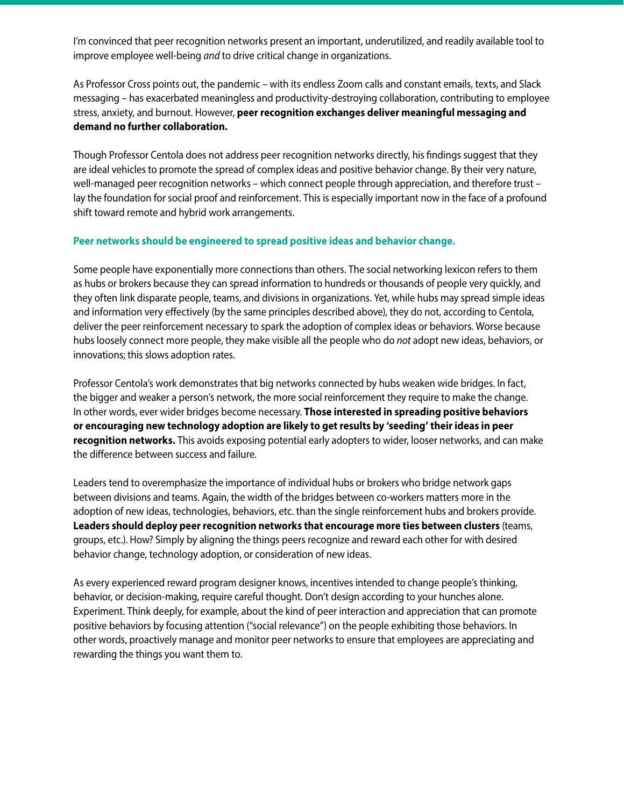I'm convinced that peer recognition networks present an important, underutilized, and readily available tool to improve employee well-being *and* to drive critical change in organizations.

As Professor Cross points out, the pandemic – with its endless Zoom calls and constant emails, texts, and Slack messaging – has exacerbated meaningless and productivity-destroying collaboration, contributing to employee stress, anxiety, and burnout. However, **peer recognition exchanges deliver meaningful messaging and demand no further collaboration.**

Though Professor Centola does not address peer recognition networks directly, his findings suggest that they are ideal vehicles to promote the spread of complex ideas and positive behavior change. By their very nature, well-managed peer recognition networks – which connect people through appreciation, and therefore trust – lay the foundation for social proof and reinforcement. This is especially important now in the face of a profound shift toward remote and hybrid work arrangements.

#### **Peer networks should be engineered to spread positive ideas and behavior change.**

Some people have exponentially more connections than others. The social networking lexicon refers to them as hubs or brokers because they can spread information to hundreds or thousands of people very quickly, and they often link disparate people, teams, and divisions in organizations. Yet, while hubs may spread simple ideas and information very effectively (by the same principles described above), they do not, according to Centola, deliver the peer reinforcement necessary to spark the adoption of complex ideas or behaviors. Worse because hubs loosely connect more people, they make visible all the people who do *not* adopt new ideas, behaviors, or innovations; this slows adoption rates.

Professor Centola's work demonstrates that big networks connected by hubs weaken wide bridges. In fact, the bigger and weaker a person's network, the more social reinforcement they require to make the change. In other words, ever wider bridges become necessary. **Those interested in spreading positive behaviors or encouraging new technology adoption are likely to get results by 'seeding' their ideas in peer recognition networks.** This avoids exposing potential early adopters to wider, looser networks, and can make the difference between success and failure.

Leaders tend to overemphasize the importance of individual hubs or brokers who bridge network gaps between divisions and teams. Again, the width of the bridges between co-workers matters more in the adoption of new ideas, technologies, behaviors, etc. than the single reinforcement hubs and brokers provide. **Leaders should deploy peer recognition networks that encourage more ties between clusters** (teams, groups, etc.). How? Simply by aligning the things peers recognize and reward each other for with desired behavior change, technology adoption, or consideration of new ideas.

As every experienced reward program designer knows, incentives intended to change people's thinking, behavior, or decision-making, require careful thought. Don't design according to your hunches alone. Experiment. Think deeply, for example, about the kind of peer interaction and appreciation that can promote positive behaviors by focusing attention ("social relevance") on the people exhibiting those behaviors. In other words, proactively manage and monitor peer networks to ensure that employees are appreciating and rewarding the things you want them to.